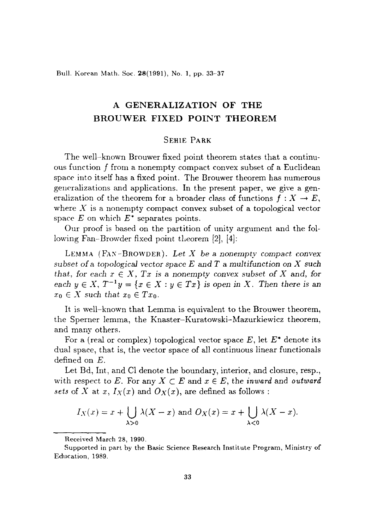Bull. Korean Math. Soc. 28(1991), No. 1, pp. 33-37

# A **GENERALIZATION OF THE BROUWER FIXED POINT THEOREM**

### SEHIE PARK

The well-known Brouwer fixed point theorem states that a continuous function f from a nonempty compact convex subset of a Euclidean space into itself has a fixed point. The Brouwer theorem has numerous generalizations and applications. In the present paper, wc give a generalization of the theorem for a broader class of functions  $f: X \to E$ , where  $X$  is a nonempty compact convex subset of a topological vector space  $E$  on which  $E^*$  separates points.

Our proof is based on the partition of unity argument and the following Fan-Browder fixed point theorem  $[2]$ ,  $[4]$ :

LEMMA (FAN-BROWDER). Let  $X$  be a nonempty compact convex *subset of* a *topological vector space E* and *T* a *multifunction* on X *such that, for each*  $x \in X$ *, Tx is a nonempty convex subset of X and, for each*  $y \in X$ ,  $T^{-1}y = \{x \in X : y \in Tx\}$  is open in X. Then there is an  $x_0 \in X$  *such that*  $x_0 \in Tx_0$ .

It is well-known that Lemma is equivalent to the Brouwer theorem, the Sperner lemma, the Knaster-Kuratowski-Mazurkiewicz theorem, and many others.

For a (real or complex) topological vector space  $E$ , let  $E^*$  denote its dual space, that is, the vector space of all continuous linear functionals defined on *E.*

Let Bd, Int, and Cl denote the boundary, interior, and closure, resp., with respect to E. For any  $X \subset E$  and  $x \in E$ , the *inward* and *outward* sets of X at  $x$ ,  $I_X(x)$  and  $O_X(x)$ , are defined as follows:

$$
I_X(x) = x + \bigcup_{\lambda > 0} \lambda(X - x)
$$
 and  $O_X(x) = x + \bigcup_{\lambda < 0} \lambda(X - x)$ .

Received March 28, 1990.

Supported in part by the Basic Science Research Institute Program, Ministry of Education, 1989.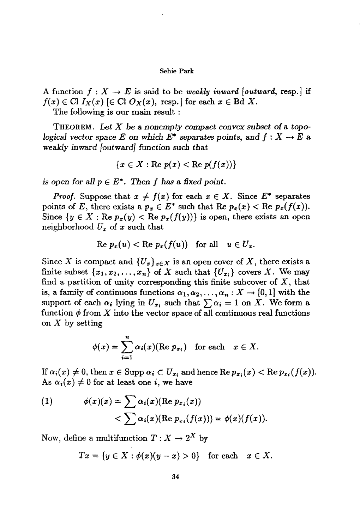#### Sehie Park

A function  $f: X \to E$  is said to be weakly inward [outward, resp.] if  $f(x) \in Cl I_X(x)$  [ $\in Cl O_X(x)$ , resp.] for each  $x \in Bd X$ .

The following is our main result :

THEOREM. Let X be a nonempty compact convex subset of a topological vector space E on which  $E^*$  separates points, and  $f: X \to E$  a weakly inward [outward] function such that

$$
\{x \in X : \text{Re } p(x) < \text{Re } p(f(x))\}
$$

is open for all  $p \in E^*$ . Then f has a fixed point.

*Proof.* Suppose that  $x \neq f(x)$  for each  $x \in X$ . Since  $E^*$  separates points of E, there exists a  $p_x \in E^*$  such that Re  $p_x(x) <$  Re  $p_x(f(x))$ . Since  $\{y \in X : \text{Re } p_x(y) < \text{Re } p_x(f(y))\}$  is open, there exists an open neighborhood  $U_x$  of x such that

$$
\text{Re } p_x(u) < \text{Re } p_x(f(u)) \quad \text{for all} \quad u \in U_x.
$$

Since X is compact and  $\{U_x\}_{x\in X}$  is an open cover of X, there exists a finite subset  $\{x_1, x_2, \ldots, x_n\}$  of X such that  $\{U_{x_i}\}$  covers X. We may find a partition of unity corresponding this finite subcover of  $X$ , that is, a family of continuous functions  $\alpha_1, \alpha_2, \ldots, \alpha_n : X \to [0,1]$  with the support of each  $\alpha_i$  lying in  $U_{x_i}$  such that  $\sum \alpha_i = 1$  on X. We form a function  $\phi$  from X into the vector space of all continuous real functions on X by setting

$$
\phi(x) = \sum_{i=1}^n \alpha_i(x) (\text{Re } p_{x_i}) \text{ for each } x \in X.
$$

If  $\alpha_i(x) \neq 0$ , then  $x \in \text{Supp } \alpha_i \subset U_{x_i}$  and hence  $\text{Re } p_{x_i}(x) < \text{Re } p_{x_i}(f(x))$ . As  $\alpha_i(x) \neq 0$  for at least one *i*, we have

(1) 
$$
\phi(x)(x) = \sum \alpha_i(x) (\text{Re } p_{x_i}(x))
$$

$$
< \sum \alpha_i(x) (\text{Re } p_{x_i}(f(x))) = \phi(x) (f(x)).
$$

Now, define a multifunction  $T: X \to 2^X$  by

 $Tx = \{y \in X : \phi(x)(y - x) > 0\}$  for each  $x \in X$ .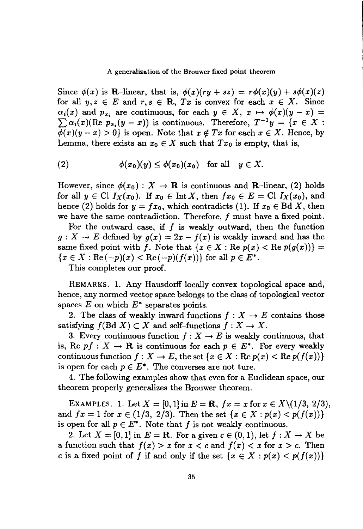### A generalization of the Brouwer fixed point theorem

Since  $\phi(x)$  is R-linear, that is,  $\phi(x)(ry + sz) = r\phi(x)(y) + s\phi(x)(z)$ for all  $y, z \in E$  and  $r, s \in \mathbb{R}$ ,  $Tx$  is convex for each  $x \in X$ . Since  $\alpha_i(x)$  and  $p_{x_i}$  are continuous, for each  $y \in X$ ,  $x \mapsto \phi(x)(y - x) =$  $\sum \alpha_i(x)$ (Re  $p_{x_i}(y-x)$ ) is continuous. Therefore,  $T^{-1}y = \{x \in X :$  $\phi(x)(y-x) > 0$  is open. Note that  $x \notin Tx$  for each  $x \in X$ . Hence, by Lemma, there exists an  $x_0 \in X$  such that  $Tx_0$  is empty, that is,

(2) 
$$
\phi(x_0)(y) \leq \phi(x_0)(x_0) \text{ for all } y \in X.
$$

However, since  $\phi(x_0): X \to \mathbf{R}$  is continuous and **R**-linear, (2) holds for all  $y \in Cl I_X(x_0)$ . If  $x_0 \in Int X$ , then  $fx_0 \in E = Cl I_X(x_0)$ , and hence (2) holds for  $y = fx_0$ , which contradicts (1). If  $x_0 \in \text{Bd } X$ , then we have the same contradiction. Therefore, f must have a fixed point.

For the outward case, if  $f$  is weakly outward, then the function  $g: X \to E$  defined by  $g(x) = 2x - f(x)$  is weakly inward and has the same fixed point with *f*. Note that  $\{x \in X : \text{Re } p(x) < \text{Re } p(g(x))\}$  ${x \in X : \text{Re}(-p)(x) < \text{Re}(-p)(f(x))}$  for all  $p \in E^*$ .

This completes our proof.

REMARKS. 1. Any Hausdorff locally convex topological space and, hence, any normed vector space belongs to the class of topological vector spaces  $E$  on which  $E^*$  separates points.

2. The class of weakly inward functions  $f : X \to E$  contains those satisfying  $f(Bd X) \subset X$  and self-functions  $f: X \to X$ .

3. Every continuous function  $f : X \to E$  is weakly continuous, that is, Re  $pf: X \to \mathbf{R}$  is continuous for each  $p \in E^*$ . For every weakly continuous function  $f: X \to E$ , the set  $\{x \in X : \text{Re } p(x) < \text{Re } p(f(x))\}$ is open for each  $p \in E^*$ . The converses are not ture.

4. The following examples show that even for a Euclidean space, our theorem properly generalizes the Brouwer theorem.

EXAMPLES. 1. Let  $X = [0,1]$  in  $E = \mathbf{R}$ ,  $fx = x$  for  $x \in X \setminus (1/3, 2/3)$ , and  $fx = 1$  for  $x \in (1/3, 2/3)$ . Then the set  $\{x \in X : p(x) < p(f(x))\}$ is open for all  $p \in E^*$ . Note that f is not weakly continuous.

2. Let  $X = [0,1]$  in  $E = \mathbf{R}$ . For a given  $c \in (0,1)$ , let  $f: X \to X$  be a function such that  $f(x) > x$  for  $x < c$  and  $f(x) < x$  for  $x > c$ . Then c is a fixed point of f if and only if the set  $\{x \in X : p(x) \leq p(f(x))\}$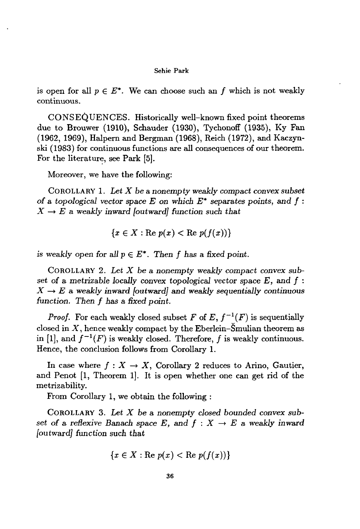#### Sehie Park

is open for all  $p \in E^*$ . We can choose such an f which is not weakly continuous.

CONSEQUENCES. Historically well-known fixed point theorems due to Brouwer (1910), Schauder (1930), Tychonoff (1935), Ky Fan (1962, 1969), Halpern and Bergman (1968), Reich (1972), and Kaczynski (1983) for continuous functions are all consequences of our theorem. For the literature, see Park [5].

Moreover, we have the following:

COROLLARY 1. *Let X* be a *nonempty weakly* compact *convex subset of* a *topological vector* space *E* on *which E\** separates *points,* and f :  $X \rightarrow E$  a weakly inward [outward] function such that

$$
\{x\in X: \text{Re }p(x)<\text{Re }p(f(x))\}
$$

*is* weakly open for all  $p \in E^*$ . Then f has a fixed point.

COROLLARY 2. *Let X* be a *nonempty weakly compact convex subset* of a *metrizable locally* convex *topological* vector space *E,* and f :  $X \rightarrow E$  a weakly inward [outward] and weakly sequentially continuous function. *Then* f *has* a *fixed point.*

*Proof.* For each weakly closed subset F of E,  $f^{-1}(F)$  is sequentially closed in  $X$ , hence weakly compact by the Eberlein-Smulian theorem as in [1], and  $f^{-1}(F)$  is weakly closed. Therefore, f is weakly continuous. Hence, the conclusion follows from Corollary l.

In case where  $f: X \to X$ , Corollary 2 reduces to Arino, Gautier, and Penot [1, Theorem 1]. It is open whether one can get rid of the metrizability.

From Corollary 1, we obtain the following :

COROLLARY 3. Let *X* be a *nonempty closed bounded convex subset* of a *reflexive* Banach *space*  $E$ *, and*  $f : X \rightarrow E$  a *weakly* inward [outward] function such *that*

$$
\{x \in X : \text{Re } p(x) < \text{Re } p(f(x))\}
$$